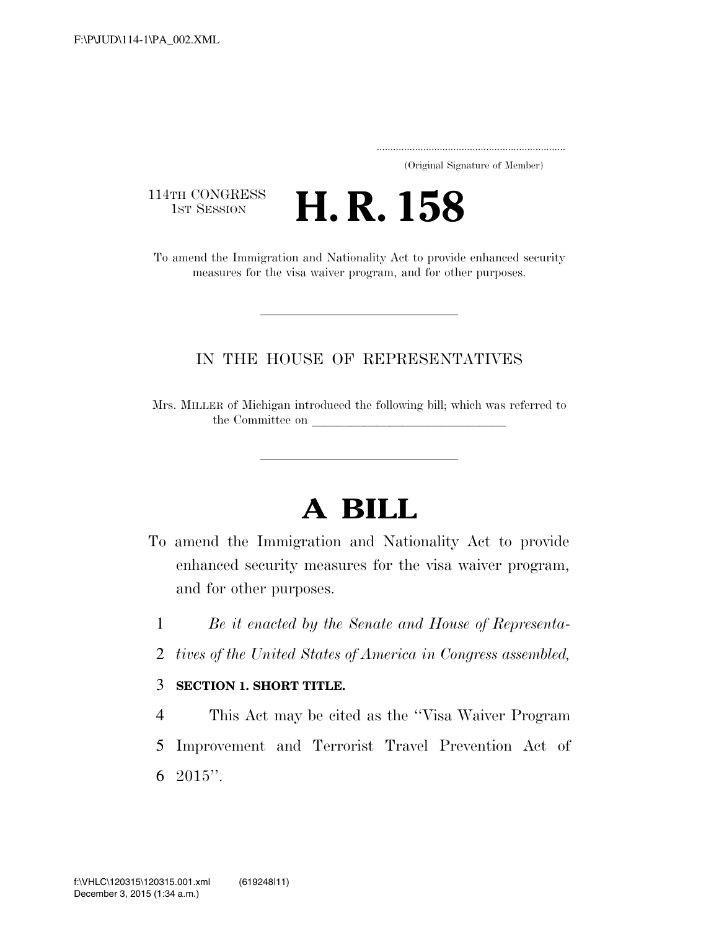..................................................................... (Original Signature of Member)

114TH CONGRESS<br>1st Session

**H. R. 158** 

To amend the Immigration and Nationality Act to provide enhanced security measures for the visa waiver program, and for other purposes.

## IN THE HOUSE OF REPRESENTATIVES

Mrs. MILLER of Michigan introduced the following bill; which was referred to the Committee on

# **A BILL**

- To amend the Immigration and Nationality Act to provide enhanced security measures for the visa waiver program, and for other purposes.
	- 1 *Be it enacted by the Senate and House of Representa-*
	- 2 *tives of the United States of America in Congress assembled,*

### 3 **SECTION 1. SHORT TITLE.**

4 This Act may be cited as the ''Visa Waiver Program 5 Improvement and Terrorist Travel Prevention Act of 6  $2015$ ".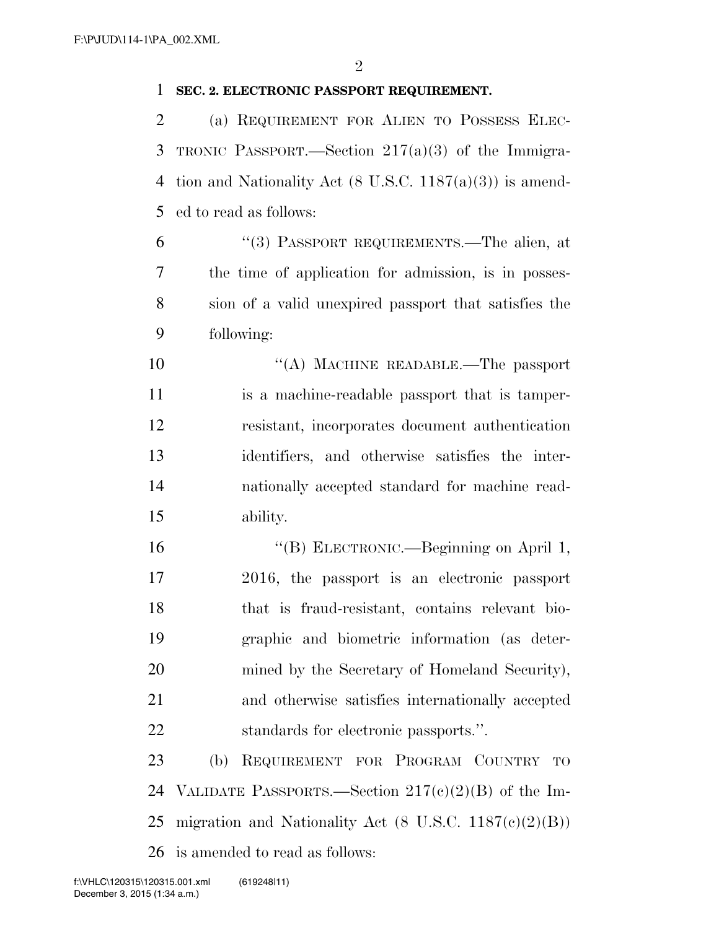#### **SEC. 2. ELECTRONIC PASSPORT REQUIREMENT.**

 (a) REQUIREMENT FOR ALIEN TO POSSESS ELEC- TRONIC PASSPORT.—Section 217(a)(3) of the Immigra- tion and Nationality Act (8 U.S.C. 1187(a)(3)) is amend-ed to read as follows:

 ''(3) PASSPORT REQUIREMENTS.—The alien, at the time of application for admission, is in posses- sion of a valid unexpired passport that satisfies the following:

10 "(A) MACHINE READABLE.—The passport is a machine-readable passport that is tamper- resistant, incorporates document authentication identifiers, and otherwise satisfies the inter- nationally accepted standard for machine read-ability.

 ''(B) ELECTRONIC.—Beginning on April 1, 2016, the passport is an electronic passport that is fraud-resistant, contains relevant bio- graphic and biometric information (as deter-20 mined by the Secretary of Homeland Security), and otherwise satisfies internationally accepted standards for electronic passports.''.

 (b) REQUIREMENT FOR PROGRAM COUNTRY TO 24 VALIDATE PASSPORTS.—Section  $217(c)(2)(B)$  of the Im-25 migration and Nationality Act  $(8 \text{ U.S.C. } 1187(\text{e})(2)(\text{B}))$ is amended to read as follows: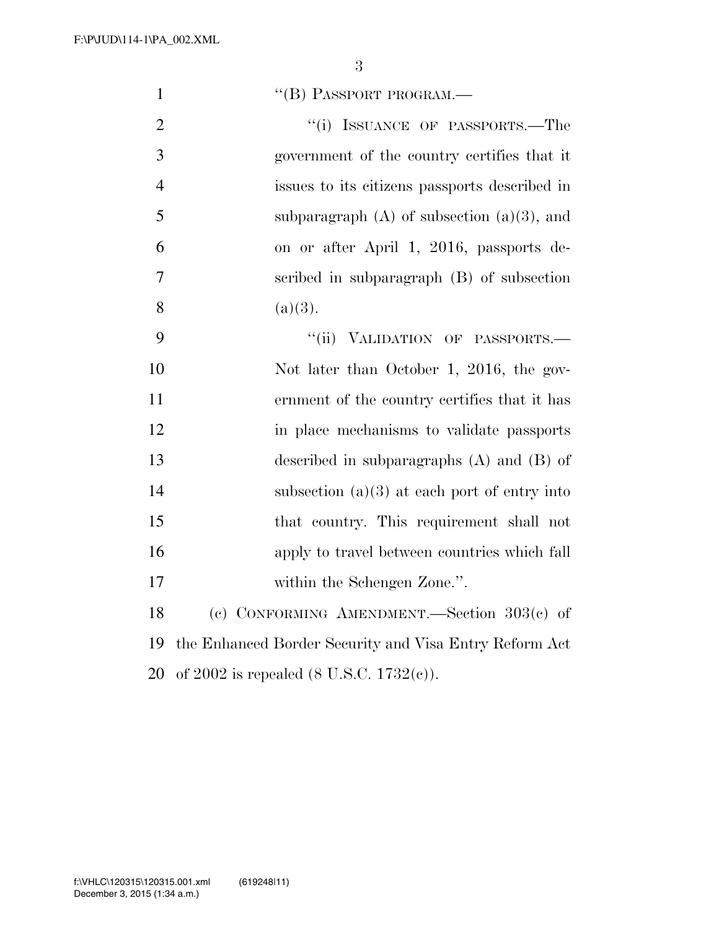| $\mathbf{1}$   | "(B) PASSPORT PROGRAM.-                                |
|----------------|--------------------------------------------------------|
| $\overline{2}$ | "(i) ISSUANCE OF PASSPORTS.—The                        |
| 3              | government of the country certifies that it            |
| $\overline{4}$ | issues to its citizens passports described in          |
| 5              | subparagraph $(A)$ of subsection $(a)(3)$ , and        |
| 6              | on or after April 1, 2016, passports de-               |
| $\overline{7}$ | scribed in subparagraph (B) of subsection              |
| 8              | (a)(3).                                                |
| 9              | "(ii) VALIDATION OF PASSPORTS.-                        |
| 10             | Not later than October 1, 2016, the gov-               |
| 11             | ernment of the country certifies that it has           |
| 12             | in place mechanisms to validate passports              |
| 13             | described in subparagraphs $(A)$ and $(B)$ of          |
| 14             | subsection $(a)(3)$ at each port of entry into         |
| 15             | that country. This requirement shall not               |
| 16             | apply to travel between countries which fall           |
| 17             | within the Schengen Zone.".                            |
| 18             | (c) CONFORMING AMENDMENT. Section $303(c)$ of          |
| 19             | the Enhanced Border Security and Visa Entry Reform Act |
| 20             | of 2002 is repealed $(8 \text{ U.S.C. } 1732(c))$ .    |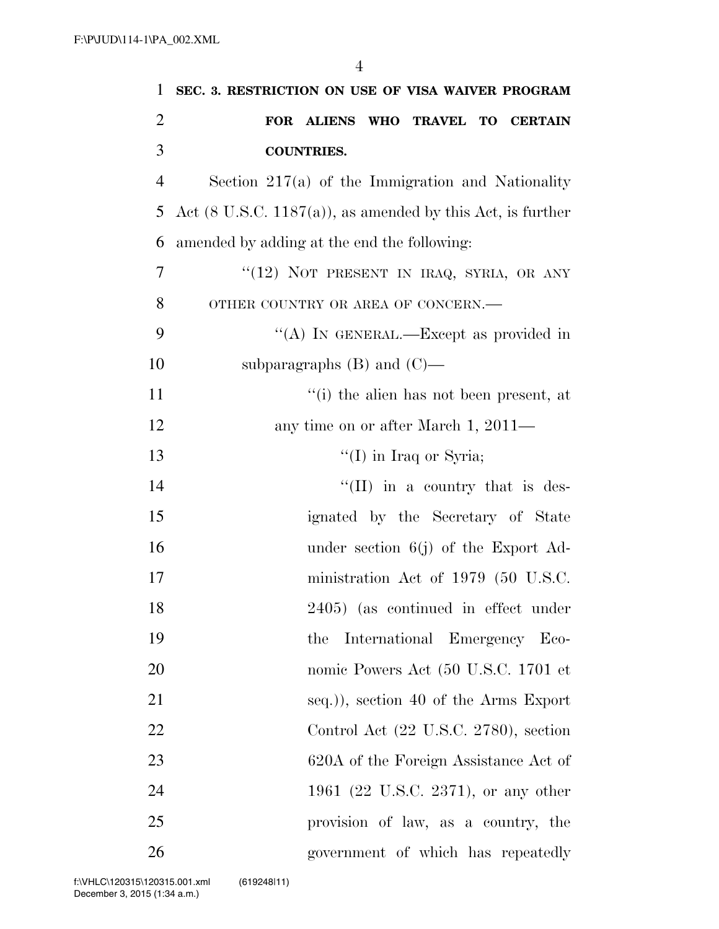| 1              | SEC. 3. RESTRICTION ON USE OF VISA WAIVER PROGRAM                      |
|----------------|------------------------------------------------------------------------|
| $\overline{2}$ | FOR ALIENS WHO TRAVEL TO CERTAIN                                       |
| 3              | <b>COUNTRIES.</b>                                                      |
| $\overline{4}$ | Section $217(a)$ of the Immigration and Nationality                    |
| 5              | Act $(8 \text{ U.S.C. } 1187(a))$ , as amended by this Act, is further |
| 6              | amended by adding at the end the following:                            |
| 7              | " $(12)$ NOT PRESENT IN IRAQ, SYRIA, OR ANY                            |
| 8              | OTHER COUNTRY OR AREA OF CONCERN.-                                     |
| 9              | "(A) IN GENERAL.—Except as provided in                                 |
| 10             | subparagraphs $(B)$ and $(C)$ —                                        |
| 11             | "(i) the alien has not been present, at                                |
| 12             | any time on or after March 1, 2011—                                    |
| 13             | "(I) in Iraq or Syria;                                                 |
| 14             | "(II) in a country that is des-                                        |
| 15             | ignated by the Secretary of State                                      |
| 16             | under section $6(j)$ of the Export Ad-                                 |
| 17             | ministration Act of 1979 (50 U.S.C.                                    |
| 18             | 2405) (as continued in effect under                                    |
| 19             | International Emergency Eco-<br>the                                    |
| 20             | nomic Powers Act (50 U.S.C. 1701 et                                    |
| 21             | seq.)), section 40 of the Arms Export                                  |
| 22             | Control Act (22 U.S.C. 2780), section                                  |
| 23             | 620A of the Foreign Assistance Act of                                  |
| 24             | 1961 (22 U.S.C. 2371), or any other                                    |
| 25             | provision of law, as a country, the                                    |
| 26             | government of which has repeatedly                                     |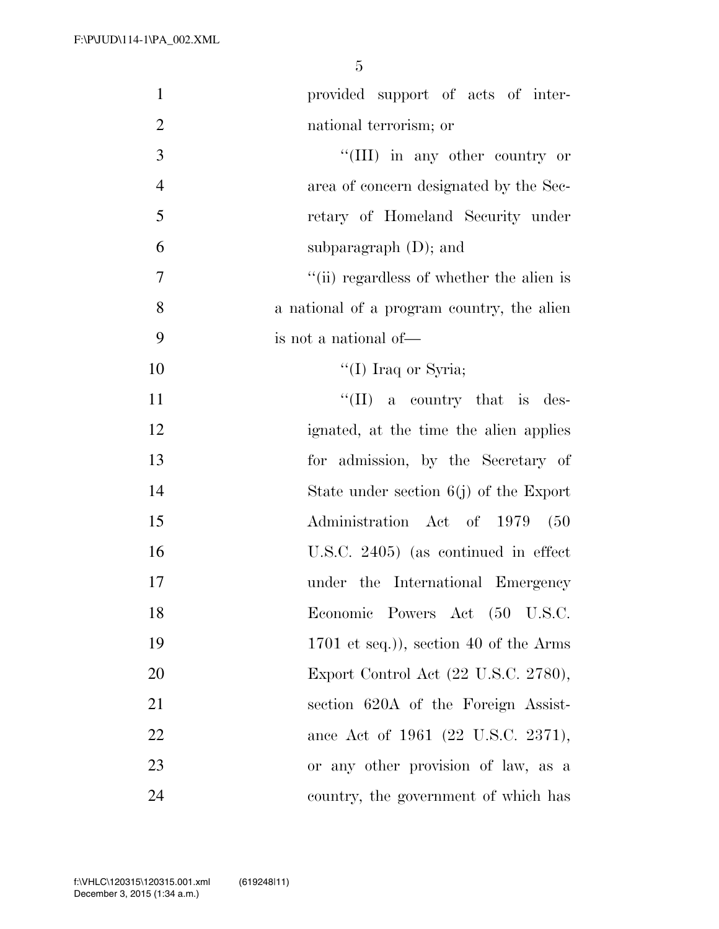| $\mathbf{1}$   | provided support of acts of inter-         |
|----------------|--------------------------------------------|
| $\overline{2}$ | national terrorism; or                     |
| $\mathfrak{Z}$ | "(III) in any other country or             |
| $\overline{4}$ | area of concern designated by the Sec-     |
| 5              | retary of Homeland Security under          |
| 6              | subparagraph $(D)$ ; and                   |
| 7              | "(ii) regardless of whether the alien is   |
| 8              | a national of a program country, the alien |
| 9              | is not a national of—                      |
| 10             | "(I) Iraq or Syria;                        |
| 11             | $\lq\lq$ (II) a country that is des-       |
| 12             | ignated, at the time the alien applies     |
| 13             | for admission, by the Secretary of         |
| 14             | State under section $6(j)$ of the Export   |
| 15             | Administration Act of 1979 (50             |
| 16             | U.S.C. 2405) (as continued in effect       |
| 17             | under the International Emergency          |
| 18             | Economic Powers Act (50 U.S.C.             |
| 19             | $1701$ et seq.)), section 40 of the Arms   |
| 20             | Export Control Act (22 U.S.C. 2780),       |
| 21             | section 620A of the Foreign Assist-        |
| 22             | ance Act of 1961 (22 U.S.C. 2371),         |
| 23             | or any other provision of law, as a        |
| 24             | country, the government of which has       |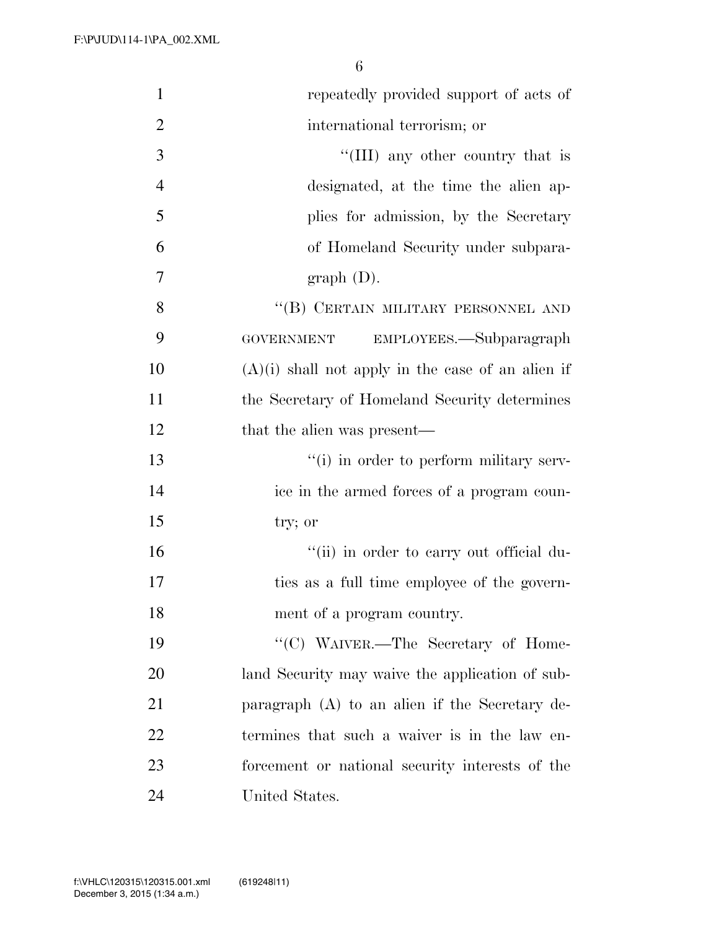| $\mathbf{1}$   | repeatedly provided support of acts of              |
|----------------|-----------------------------------------------------|
| $\overline{2}$ | international terrorism; or                         |
| 3              | "(III) any other country that is                    |
| $\overline{4}$ | designated, at the time the alien ap-               |
| 5              | plies for admission, by the Secretary               |
| 6              | of Homeland Security under subpara-                 |
| 7              | graph (D).                                          |
| 8              | "(B) CERTAIN MILITARY PERSONNEL AND                 |
| 9              | EMPLOYEES.—Subparagraph<br><b>GOVERNMENT</b>        |
| 10             | $(A)(i)$ shall not apply in the case of an alien if |
| 11             | the Secretary of Homeland Security determines       |
| 12             | that the alien was present—                         |
| 13             | "(i) in order to perform military serv-             |
| 14             | ice in the armed forces of a program coun-          |
| 15             | try; or                                             |
| 16             | "(ii) in order to carry out official du-            |
| 17             | ties as a full time employee of the govern-         |
| 18             | ment of a program country.                          |
| 19             | "(C) WAIVER.—The Secretary of Home-                 |
| 20             | land Security may waive the application of sub-     |
| 21             | paragraph $(A)$ to an alien if the Secretary de-    |
| 22             | termines that such a waiver is in the law en-       |
| 23             | forcement or national security interests of the     |
| 24             | United States.                                      |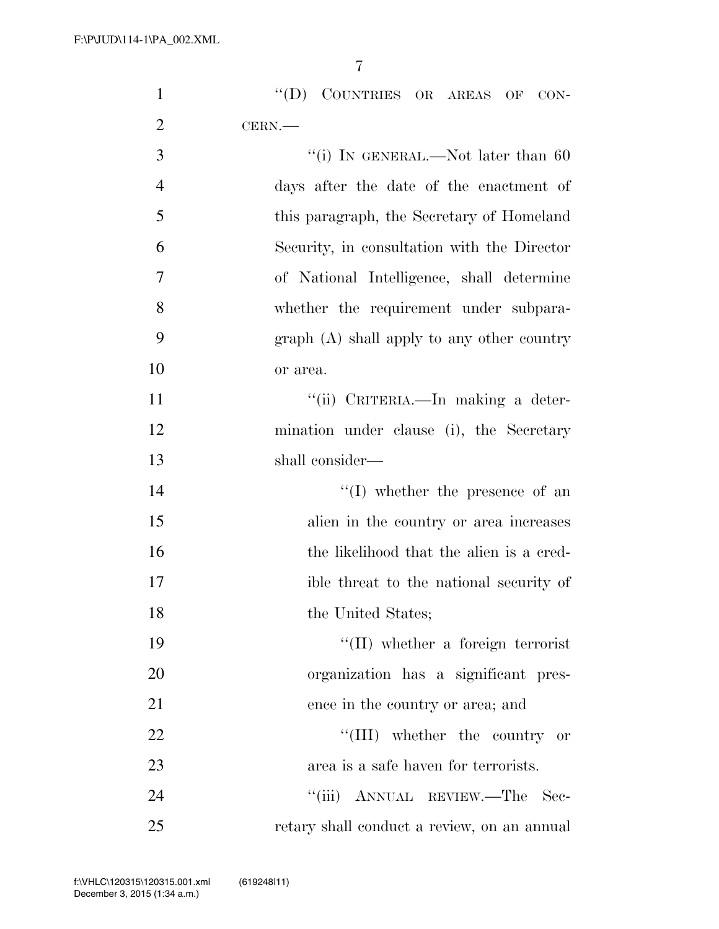|                | 7                                           |
|----------------|---------------------------------------------|
| $\mathbf{1}$   | COUNTRIES OR AREAS OF CON-<br>$\lq\lq (D)$  |
| $\overline{2}$ | CERN.                                       |
| 3              | "(i) IN GENERAL.—Not later than 60          |
| $\overline{4}$ | days after the date of the enactment of     |
| 5              | this paragraph, the Secretary of Homeland   |
| 6              | Security, in consultation with the Director |
| $\overline{7}$ | of National Intelligence, shall determine   |
| 8              | whether the requirement under subpara-      |
| 9              | $graph(A)$ shall apply to any other country |
| 10             | or area.                                    |
| 11             | "(ii) CRITERIA.—In making a deter-          |
| 12             | mination under clause (i), the Secretary    |
| 13             | shall consider—                             |
| 14             | $\lq\lq$ whether the presence of an         |
| 15             | alien in the country or area increases      |
| 16             | the likelihood that the alien is a cred-    |
| 17             | ible threat to the national security of     |
|                |                                             |

19  $\text{``(II)}$  whether a foreign terrorist 20 organization has a significant pres-21 ence in the country or area; and 22 ''(III) whether the country or 23 area is a safe haven for terrorists. 24 ''(iii) ANNUAL REVIEW.—The Sec-25 retary shall conduct a review, on an annual

18 the United States;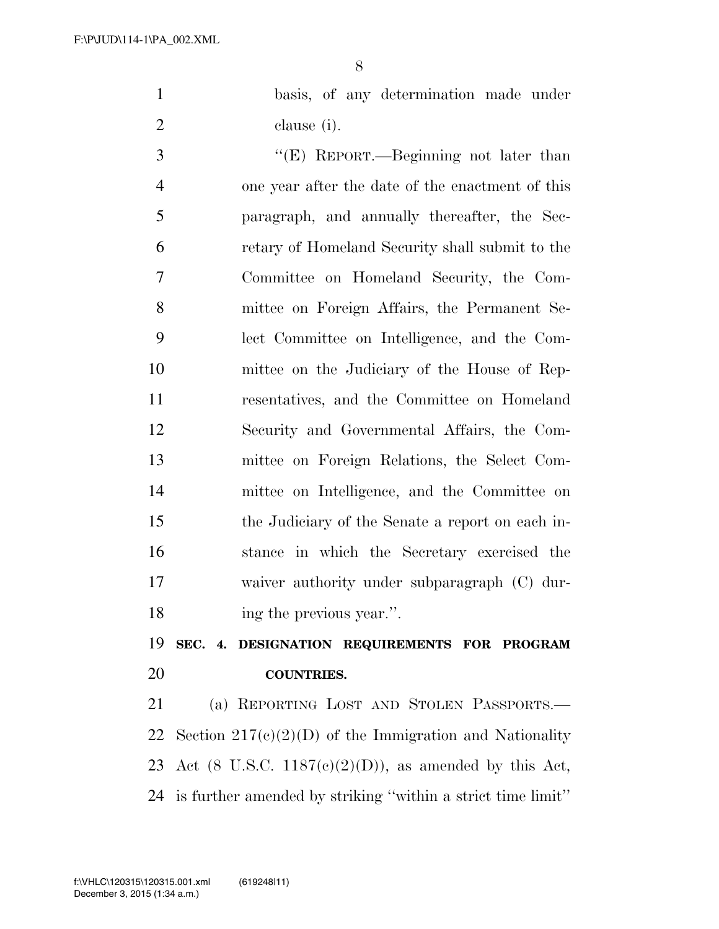basis, of any determination made under clause (i).

 ''(E) REPORT.—Beginning not later than one year after the date of the enactment of this paragraph, and annually thereafter, the Sec- retary of Homeland Security shall submit to the Committee on Homeland Security, the Com- mittee on Foreign Affairs, the Permanent Se- lect Committee on Intelligence, and the Com- mittee on the Judiciary of the House of Rep- resentatives, and the Committee on Homeland Security and Governmental Affairs, the Com- mittee on Foreign Relations, the Select Com- mittee on Intelligence, and the Committee on the Judiciary of the Senate a report on each in- stance in which the Secretary exercised the waiver authority under subparagraph (C) dur-ing the previous year.''.

 **SEC. 4. DESIGNATION REQUIREMENTS FOR PROGRAM COUNTRIES.** 

 (a) REPORTING LOST AND STOLEN PASSPORTS.— 22 Section  $217(e)(2)(D)$  of the Immigration and Nationality 23 Act (8 U.S.C.  $1187(c)(2)(D)$ ), as amended by this Act, is further amended by striking ''within a strict time limit''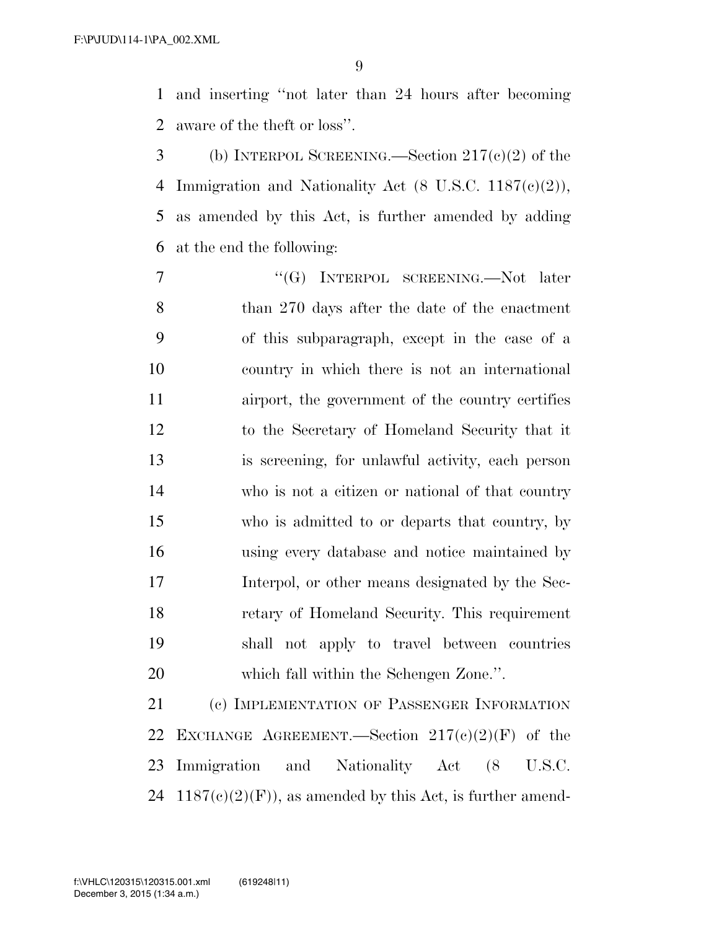and inserting ''not later than 24 hours after becoming aware of the theft or loss''.

 (b) INTERPOL SCREENING.—Section 217(c)(2) of the Immigration and Nationality Act (8 U.S.C. 1187(c)(2)), as amended by this Act, is further amended by adding at the end the following:

7 "'(G) INTERPOL SCREENING.—Not later than 270 days after the date of the enactment of this subparagraph, except in the case of a country in which there is not an international airport, the government of the country certifies to the Secretary of Homeland Security that it is screening, for unlawful activity, each person who is not a citizen or national of that country who is admitted to or departs that country, by using every database and notice maintained by Interpol, or other means designated by the Sec- retary of Homeland Security. This requirement shall not apply to travel between countries which fall within the Schengen Zone.''.

 (c) IMPLEMENTATION OF PASSENGER INFORMATION 22 EXCHANGE AGREEMENT.—Section  $217(c)(2)(F)$  of the Immigration and Nationality Act (8 U.S.C. 24 1187(c)(2)(F)), as amended by this Act, is further amend-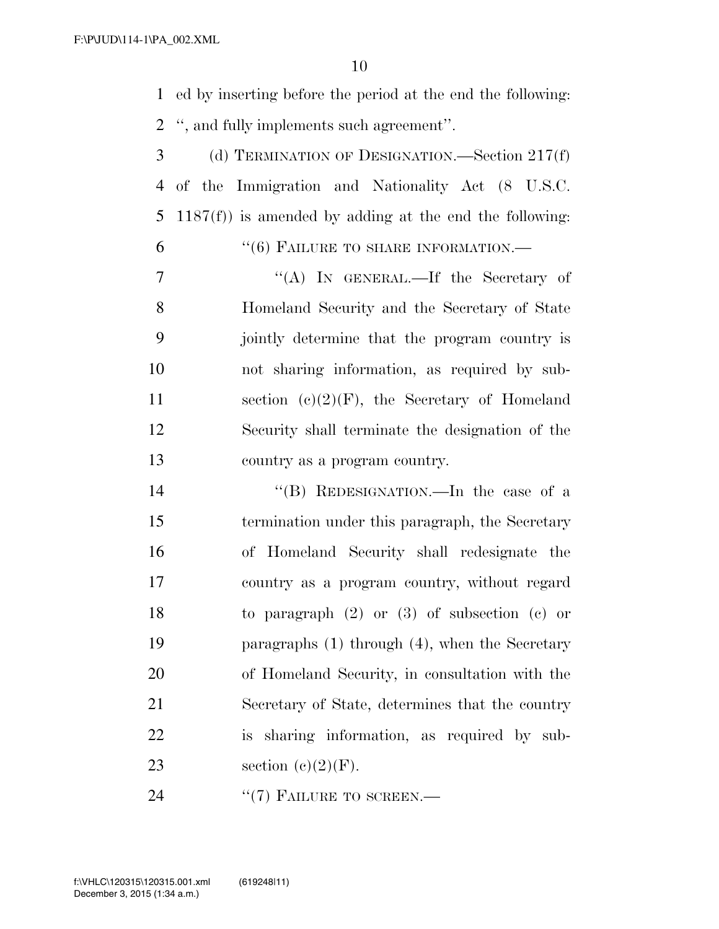ed by inserting before the period at the end the following: '', and fully implements such agreement''.

 (d) TERMINATION OF DESIGNATION.—Section 217(f) of the Immigration and Nationality Act (8 U.S.C. 1187(f)) is amended by adding at the end the following:

6 "(6) FAILURE TO SHARE INFORMATION.—

 ''(A) IN GENERAL.—If the Secretary of Homeland Security and the Secretary of State jointly determine that the program country is not sharing information, as required by sub-11 section  $(c)(2)(F)$ , the Secretary of Homeland Security shall terminate the designation of the country as a program country.

 ''(B) REDESIGNATION.—In the case of a termination under this paragraph, the Secretary of Homeland Security shall redesignate the country as a program country, without regard to paragraph (2) or (3) of subsection (c) or paragraphs (1) through (4), when the Secretary of Homeland Security, in consultation with the Secretary of State, determines that the country is sharing information, as required by sub-23 section  $(c)(2)(F)$ .

24 "(7) FAILURE TO SCREEN.—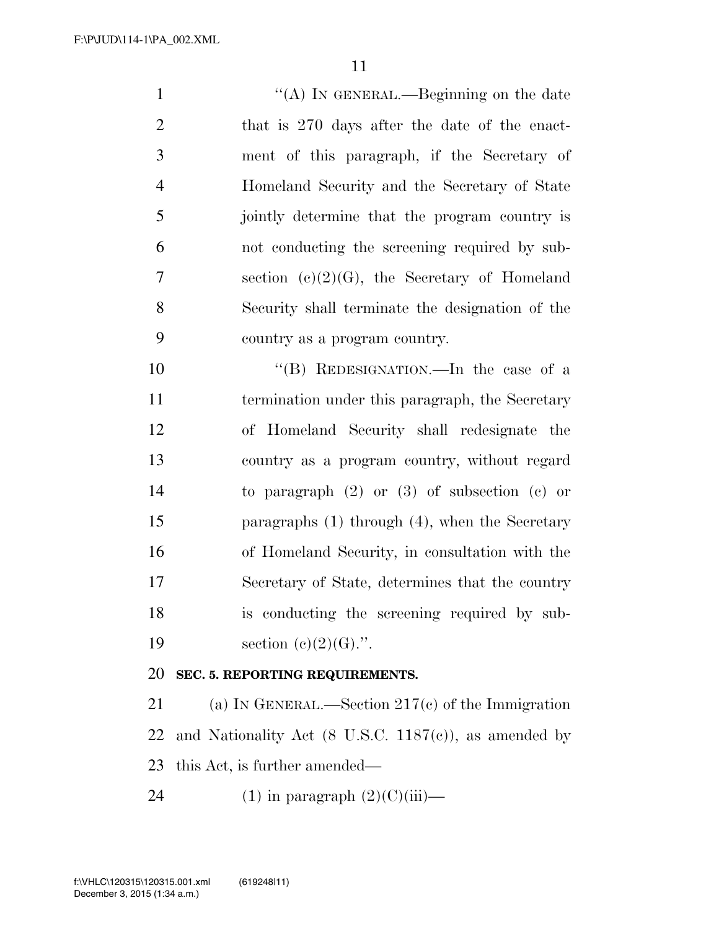1 ''(A) IN GENERAL.—Beginning on the date that is 270 days after the date of the enact- ment of this paragraph, if the Secretary of Homeland Security and the Secretary of State jointly determine that the program country is not conducting the screening required by sub- section (c)(2)(G), the Secretary of Homeland Security shall terminate the designation of the country as a program country. ''(B) REDESIGNATION.—In the case of a termination under this paragraph, the Secretary of Homeland Security shall redesignate the country as a program country, without regard

 paragraphs (1) through (4), when the Secretary of Homeland Security, in consultation with the Secretary of State, determines that the country is conducting the screening required by sub-19 section  $(e)(2)(G)$ .".

to paragraph (2) or (3) of subsection (c) or

#### **SEC. 5. REPORTING REQUIREMENTS.**

 (a) IN GENERAL.—Section 217(c) of the Immigration 22 and Nationality Act  $(8 \text{ U.S.C. } 1187(c))$ , as amended by this Act, is further amended—

24 (1) in paragraph  $(2)(C)(iii)$ —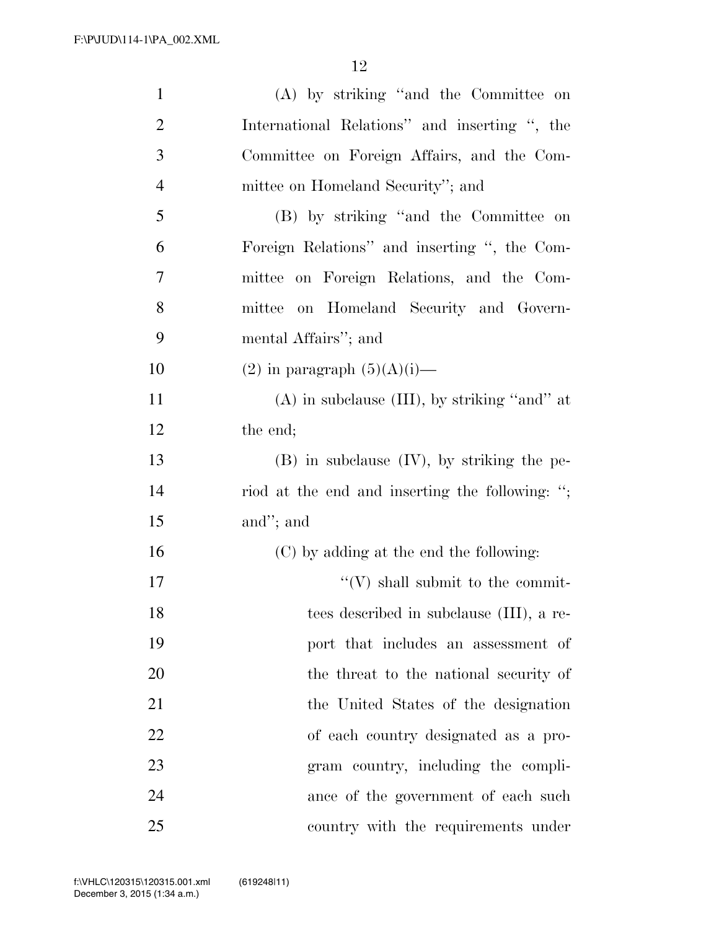| $\mathbf{1}$   | (A) by striking "and the Committee on             |
|----------------|---------------------------------------------------|
| $\overline{2}$ | International Relations" and inserting ", the     |
| $\mathfrak{Z}$ | Committee on Foreign Affairs, and the Com-        |
| $\overline{4}$ | mittee on Homeland Security"; and                 |
| 5              | (B) by striking "and the Committee on             |
| 6              | Foreign Relations" and inserting ", the Com-      |
| 7              | mittee on Foreign Relations, and the Com-         |
| 8              | on Homeland Security and Govern-<br>mittee        |
| 9              | mental Affairs"; and                              |
| 10             | $(2)$ in paragraph $(5)(A)(i)$ —                  |
| 11             | $(A)$ in subclause $(III)$ , by striking "and" at |
| 12             | the end;                                          |
| 13             | $(B)$ in subclause $(IV)$ , by striking the pe-   |
| 14             | riod at the end and inserting the following: ";   |
| 15             | and"; and                                         |
| 16             | (C) by adding at the end the following:           |
| 17             | $\lq\lq (V)$ shall submit to the commit-          |
| 18             | tees described in subclause (III), a re-          |
| 19             | port that includes an assessment of               |
| 20             | the threat to the national security of            |
| 21             | the United States of the designation              |
| 22             | of each country designated as a pro-              |
| 23             | gram country, including the compli-               |
| 24             | ance of the government of each such               |
| 25             | country with the requirements under               |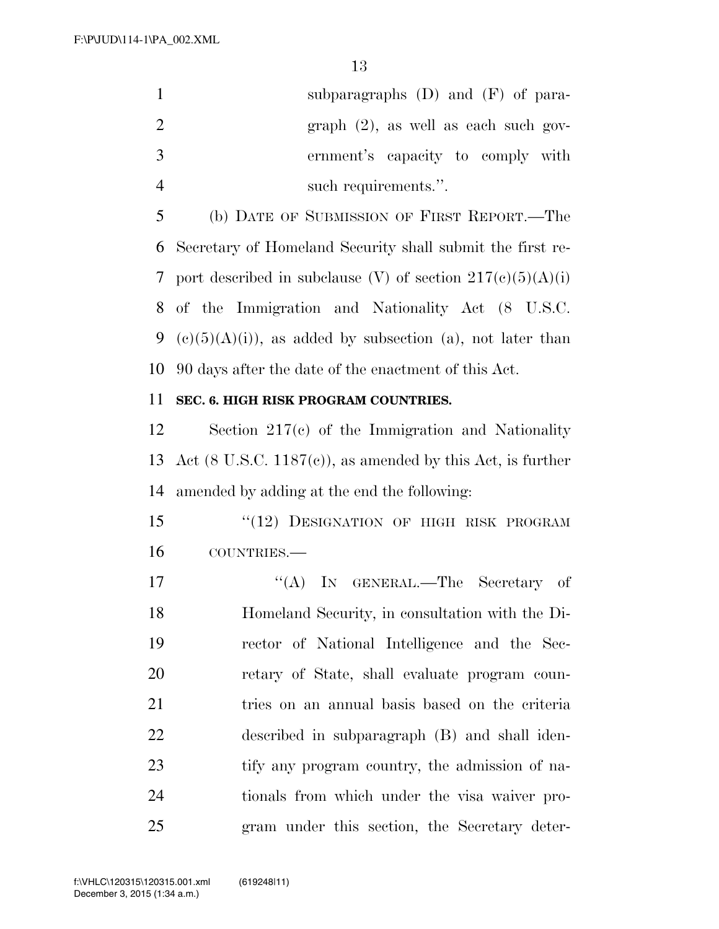F:\P\JUD\114-1\PA\_002.XML

|               | subparagraphs $(D)$ and $(F)$ of para-  |
|---------------|-----------------------------------------|
| $\mathcal{L}$ | $graph (2)$ , as well as each such gov- |
| -3            | ernment's capacity to comply with       |
|               | such requirements."                     |

 (b) DATE OF SUBMISSION OF FIRST REPORT.—The Secretary of Homeland Security shall submit the first re-7 port described in subclause (V) of section  $217(c)(5)(A)(i)$  of the Immigration and Nationality Act (8 U.S.C. 9 (c)(5)(A)(i)), as added by subsection (a), not later than 90 days after the date of the enactment of this Act.

#### **SEC. 6. HIGH RISK PROGRAM COUNTRIES.**

 Section 217(c) of the Immigration and Nationality Act (8 U.S.C. 1187(c)), as amended by this Act, is further amended by adding at the end the following:

15 "(12) DESIGNATION OF HIGH RISK PROGRAM COUNTRIES.—

17 "'(A) IN GENERAL.—The Secretary of Homeland Security, in consultation with the Di- rector of National Intelligence and the Sec- retary of State, shall evaluate program coun- tries on an annual basis based on the criteria described in subparagraph (B) and shall iden- tify any program country, the admission of na- tionals from which under the visa waiver pro-gram under this section, the Secretary deter-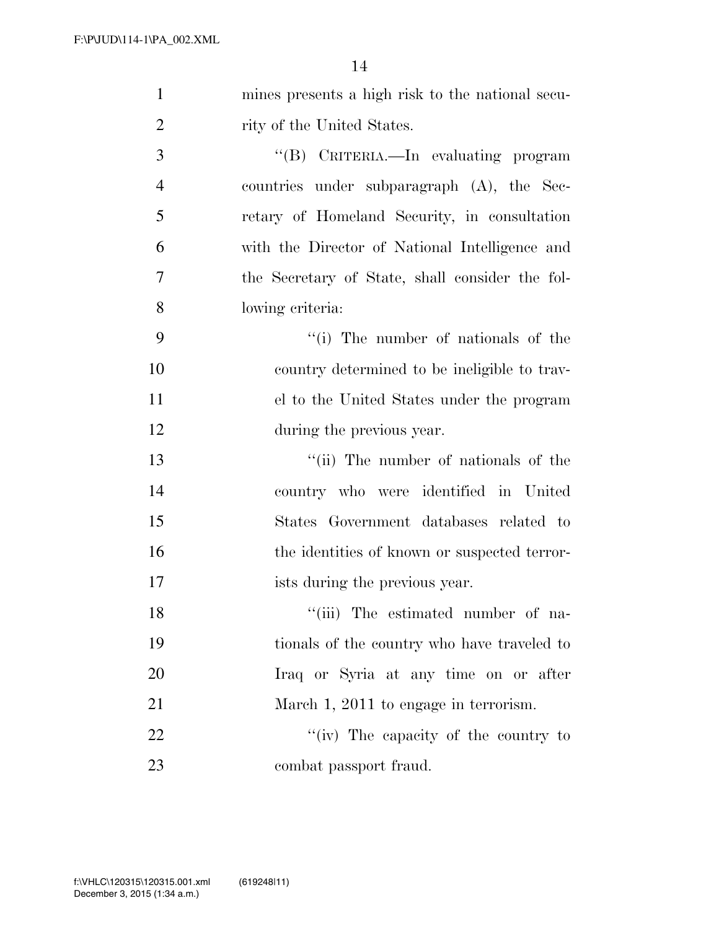| $\mathbf{1}$   | mines presents a high risk to the national secu- |
|----------------|--------------------------------------------------|
| $\overline{2}$ | rity of the United States.                       |
| 3              | "(B) CRITERIA.—In evaluating program             |
| $\overline{4}$ | countries under subparagraph (A), the Sec-       |
| 5              | retary of Homeland Security, in consultation     |
| 6              | with the Director of National Intelligence and   |
| 7              | the Secretary of State, shall consider the fol-  |
| 8              | lowing criteria:                                 |
| 9              | "(i) The number of nationals of the              |
| 10             | country determined to be ineligible to trav-     |
| 11             | el to the United States under the program        |
| 12             | during the previous year.                        |
| 13             | "(ii) The number of nationals of the             |
| 14             | country who were identified in United            |
| 15             | States Government databases related to           |
| 16             | the identities of known or suspected terror-     |
| 17             | ists during the previous year.                   |
| 18             | "(iii) The estimated number of na-               |
| 19             | tionals of the country who have traveled to      |
| 20             | Iraq or Syria at any time on or after            |
| 21             | March 1, 2011 to engage in terrorism.            |
| 22             | "(iv) The capacity of the country to             |
| 23             | combat passport fraud.                           |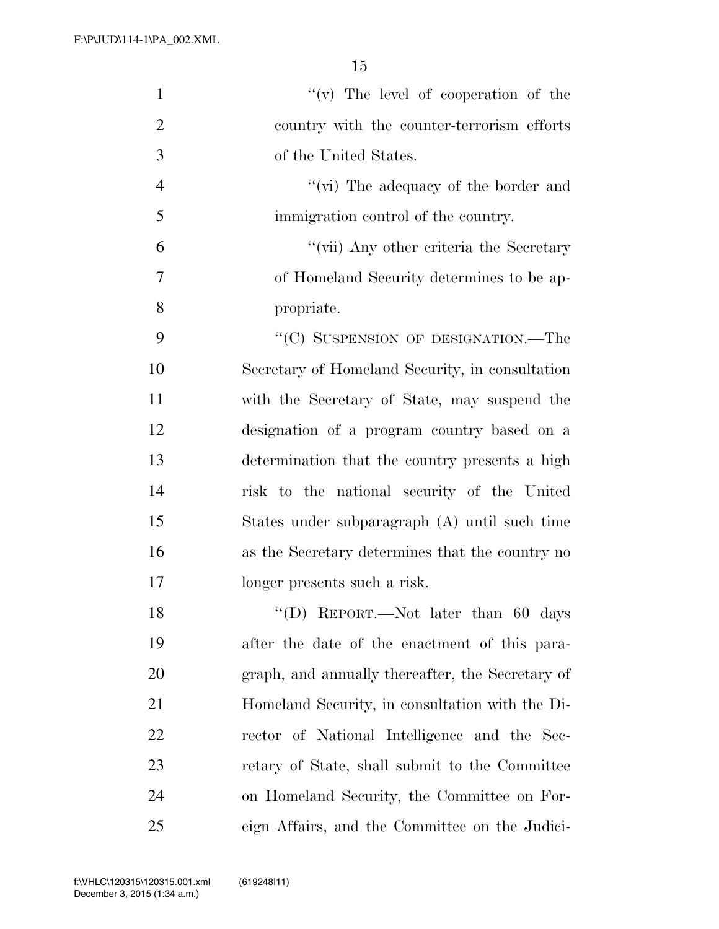| $\mathbf{1}$   | "(v) The level of cooperation of the             |
|----------------|--------------------------------------------------|
| $\overline{2}$ | country with the counter-terrorism efforts       |
| 3              | of the United States.                            |
| $\overline{4}$ | "(vi) The adequacy of the border and             |
| 5              | immigration control of the country.              |
| 6              | "(vii) Any other criteria the Secretary          |
| $\overline{7}$ | of Homeland Security determines to be ap-        |
| 8              | propriate.                                       |
| 9              | "(C) SUSPENSION OF DESIGNATION.—The              |
| 10             | Secretary of Homeland Security, in consultation  |
| 11             | with the Secretary of State, may suspend the     |
| 12             | designation of a program country based on a      |
| 13             | determination that the country presents a high   |
| 14             | risk to the national security of the United      |
| 15             | States under subparagraph (A) until such time    |
| 16             | as the Secretary determines that the country no  |
| 17             | longer presents such a risk.                     |
| 18             | "(D) REPORT.—Not later than $60$ days            |
| 19             | after the date of the enactment of this para-    |
| 20             | graph, and annually thereafter, the Secretary of |
| 21             | Homeland Security, in consultation with the Di-  |
| <u>22</u>      | rector of National Intelligence and the Sec-     |
| 23             | retary of State, shall submit to the Committee   |
| 24             | on Homeland Security, the Committee on For-      |
| 25             | eign Affairs, and the Committee on the Judici-   |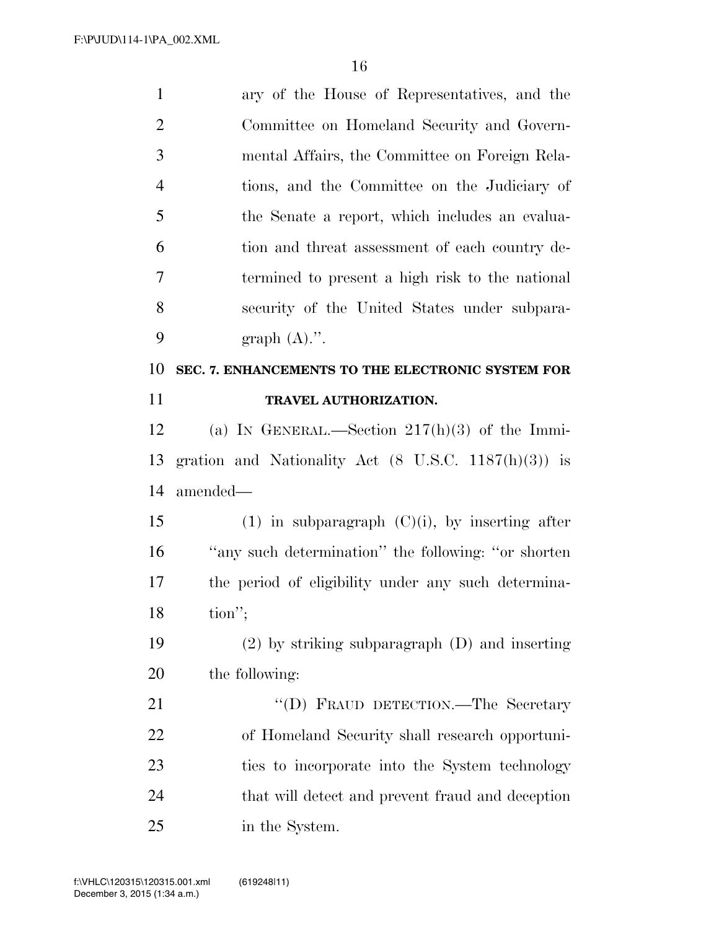| $\mathbf{1}$   | ary of the House of Representatives, and the                    |
|----------------|-----------------------------------------------------------------|
| $\mathbf{2}$   | Committee on Homeland Security and Govern-                      |
| 3              | mental Affairs, the Committee on Foreign Rela-                  |
| $\overline{4}$ | tions, and the Committee on the Judiciary of                    |
| 5              | the Senate a report, which includes an evalua-                  |
| 6              | tion and threat assessment of each country de-                  |
| $\overline{7}$ | termined to present a high risk to the national                 |
| 8              | security of the United States under subpara-                    |
| 9              | graph $(A)$ .".                                                 |
| 10             | SEC. 7. ENHANCEMENTS TO THE ELECTRONIC SYSTEM FOR               |
| 11             | TRAVEL AUTHORIZATION.                                           |
| 12             | (a) IN GENERAL.—Section $217(h)(3)$ of the Immi-                |
| 13             | gration and Nationality Act $(8 \text{ U.S.C. } 1187(h)(3))$ is |
| 14             | amended—                                                        |
| 15             | $(1)$ in subparagraph $(C)(i)$ , by inserting after             |
| 16             | "any such determination" the following: "or shorten"            |
| 17             | the period of eligibility under any such determina-             |
| 18             | $\text{tion}''$                                                 |
| 19             | $(2)$ by striking subparagraph $(D)$ and inserting              |
| 20             | the following:                                                  |
| 21             | "(D) FRAUD DETECTION.—The Secretary                             |
| 22             | of Homeland Security shall research opportuni-                  |
| 23             | ties to incorporate into the System technology                  |
| 24             | that will detect and prevent fraud and deception                |
| 25             | in the System.                                                  |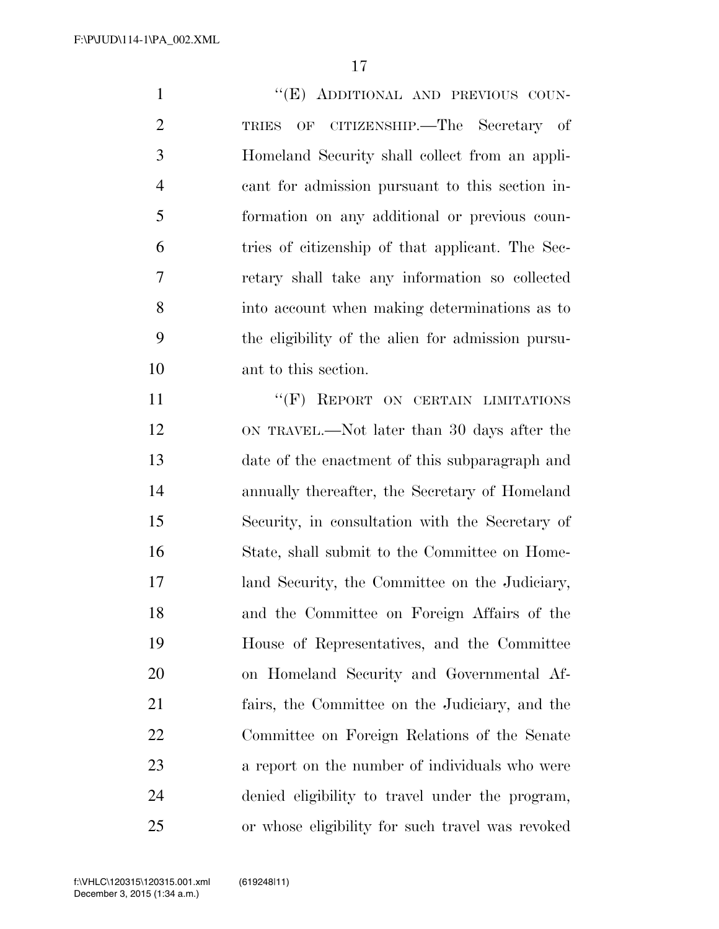1 ""(E) ADDITIONAL AND PREVIOUS COUN- TRIES OF CITIZENSHIP.—The Secretary of Homeland Security shall collect from an appli- cant for admission pursuant to this section in- formation on any additional or previous coun- tries of citizenship of that applicant. The Sec- retary shall take any information so collected into account when making determinations as to the eligibility of the alien for admission pursu- ant to this section. 11 "
(F) REPORT ON CERTAIN LIMITATIONS ON TRAVEL.—Not later than 30 days after the date of the enactment of this subparagraph and annually thereafter, the Secretary of Homeland Security, in consultation with the Secretary of State, shall submit to the Committee on Home- land Security, the Committee on the Judiciary, and the Committee on Foreign Affairs of the House of Representatives, and the Committee on Homeland Security and Governmental Af- fairs, the Committee on the Judiciary, and the Committee on Foreign Relations of the Senate

 a report on the number of individuals who were denied eligibility to travel under the program, or whose eligibility for such travel was revoked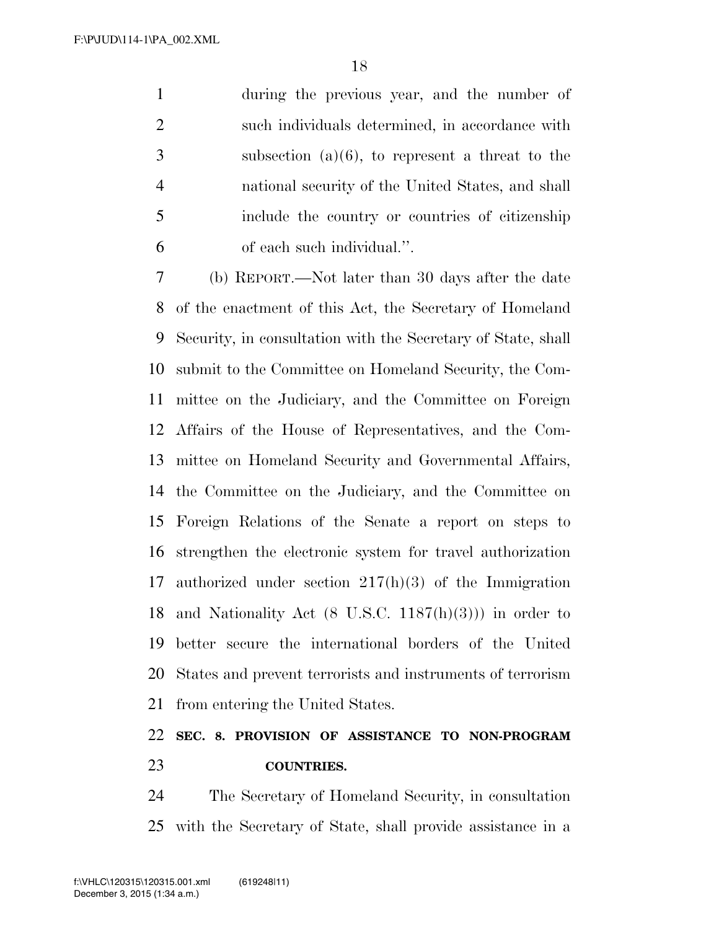during the previous year, and the number of such individuals determined, in accordance with subsection (a)(6), to represent a threat to the national security of the United States, and shall include the country or countries of citizenship of each such individual.''.

 (b) REPORT.—Not later than 30 days after the date of the enactment of this Act, the Secretary of Homeland Security, in consultation with the Secretary of State, shall submit to the Committee on Homeland Security, the Com- mittee on the Judiciary, and the Committee on Foreign Affairs of the House of Representatives, and the Com- mittee on Homeland Security and Governmental Affairs, the Committee on the Judiciary, and the Committee on Foreign Relations of the Senate a report on steps to strengthen the electronic system for travel authorization authorized under section 217(h)(3) of the Immigration 18 and Nationality Act  $(8 \text{ U.S.C. } 1187(h)(3))$  in order to better secure the international borders of the United States and prevent terrorists and instruments of terrorism from entering the United States.

# **SEC. 8. PROVISION OF ASSISTANCE TO NON-PROGRAM COUNTRIES.**

 The Secretary of Homeland Security, in consultation with the Secretary of State, shall provide assistance in a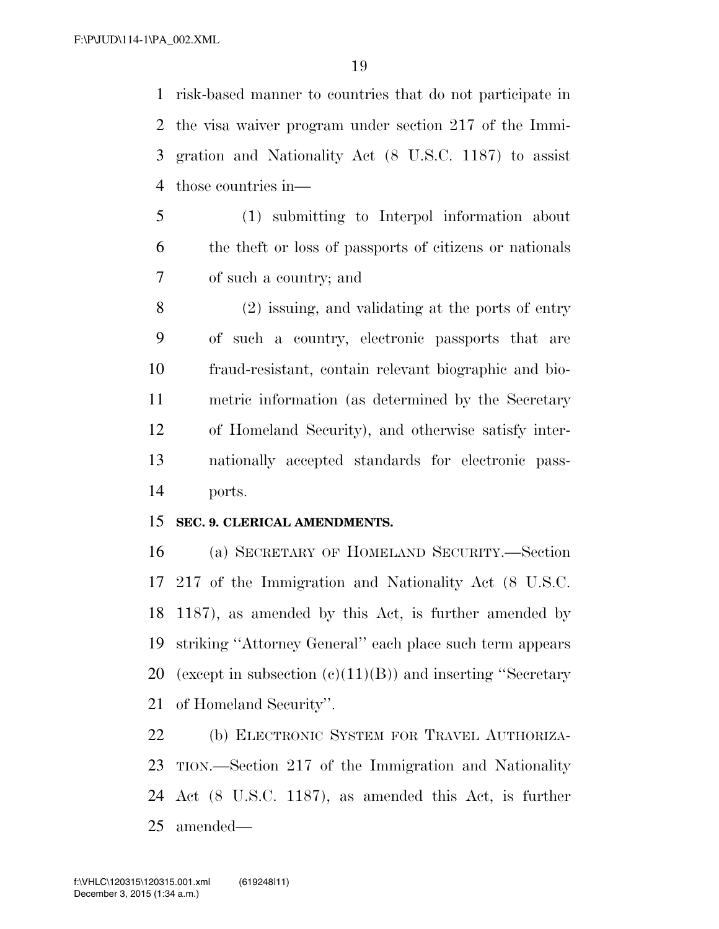risk-based manner to countries that do not participate in the visa waiver program under section 217 of the Immi- gration and Nationality Act (8 U.S.C. 1187) to assist those countries in—

 (1) submitting to Interpol information about the theft or loss of passports of citizens or nationals of such a country; and

 (2) issuing, and validating at the ports of entry of such a country, electronic passports that are fraud-resistant, contain relevant biographic and bio- metric information (as determined by the Secretary of Homeland Security), and otherwise satisfy inter- nationally accepted standards for electronic pass-ports.

#### **SEC. 9. CLERICAL AMENDMENTS.**

 (a) SECRETARY OF HOMELAND SECURITY.—Section 217 of the Immigration and Nationality Act (8 U.S.C. 1187), as amended by this Act, is further amended by striking ''Attorney General'' each place such term appears 20 (except in subsection  $(c)(11)(B)$ ) and inserting "Secretary" of Homeland Security''.

 (b) ELECTRONIC SYSTEM FOR TRAVEL AUTHORIZA- TION.—Section 217 of the Immigration and Nationality Act (8 U.S.C. 1187), as amended this Act, is further amended—